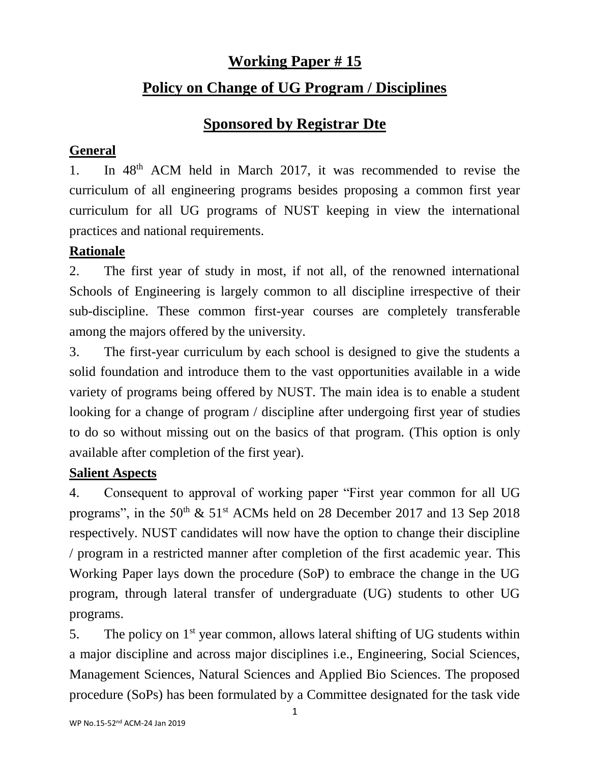## **Working Paper # 15**

## **Policy on Change of UG Program / Disciplines**

# **Sponsored by Registrar Dte**

## **General**

1. In 48th ACM held in March 2017, it was recommended to revise the curriculum of all engineering programs besides proposing a common first year curriculum for all UG programs of NUST keeping in view the international practices and national requirements.

## **Rationale**

2. The first year of study in most, if not all, of the renowned international Schools of Engineering is largely common to all discipline irrespective of their sub-discipline. These common first-year courses are completely transferable among the majors offered by the university.

3. The first-year curriculum by each school is designed to give the students a solid foundation and introduce them to the vast opportunities available in a wide variety of programs being offered by NUST. The main idea is to enable a student looking for a change of program / discipline after undergoing first year of studies to do so without missing out on the basics of that program. (This option is only available after completion of the first year).

## **Salient Aspects**

4. Consequent to approval of working paper "First year common for all UG programs", in the 50<sup>th</sup> & 51<sup>st</sup> ACMs held on 28 December 2017 and 13 Sep 2018 respectively. NUST candidates will now have the option to change their discipline / program in a restricted manner after completion of the first academic year. This Working Paper lays down the procedure (SoP) to embrace the change in the UG program, through lateral transfer of undergraduate (UG) students to other UG programs.

5. The policy on  $1<sup>st</sup>$  year common, allows lateral shifting of UG students within a major discipline and across major disciplines i.e., Engineering, Social Sciences, Management Sciences, Natural Sciences and Applied Bio Sciences. The proposed procedure (SoPs) has been formulated by a Committee designated for the task vide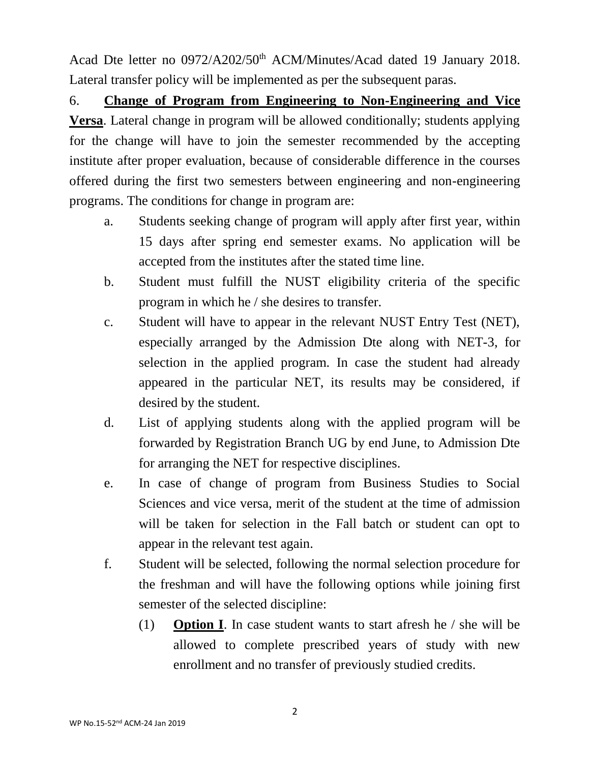Acad Dte letter no 0972/A202/50<sup>th</sup> ACM/Minutes/Acad dated 19 January 2018. Lateral transfer policy will be implemented as per the subsequent paras.

6. **Change of Program from Engineering to Non-Engineering and Vice Versa**. Lateral change in program will be allowed conditionally; students applying for the change will have to join the semester recommended by the accepting institute after proper evaluation, because of considerable difference in the courses offered during the first two semesters between engineering and non-engineering programs. The conditions for change in program are:

- a. Students seeking change of program will apply after first year, within 15 days after spring end semester exams. No application will be accepted from the institutes after the stated time line.
- b. Student must fulfill the NUST eligibility criteria of the specific program in which he / she desires to transfer.
- c. Student will have to appear in the relevant NUST Entry Test (NET), especially arranged by the Admission Dte along with NET-3, for selection in the applied program. In case the student had already appeared in the particular NET, its results may be considered, if desired by the student.
- d. List of applying students along with the applied program will be forwarded by Registration Branch UG by end June, to Admission Dte for arranging the NET for respective disciplines.
- e. In case of change of program from Business Studies to Social Sciences and vice versa, merit of the student at the time of admission will be taken for selection in the Fall batch or student can opt to appear in the relevant test again.
- f. Student will be selected, following the normal selection procedure for the freshman and will have the following options while joining first semester of the selected discipline:
	- (1) **Option I**. In case student wants to start afresh he / she will be allowed to complete prescribed years of study with new enrollment and no transfer of previously studied credits.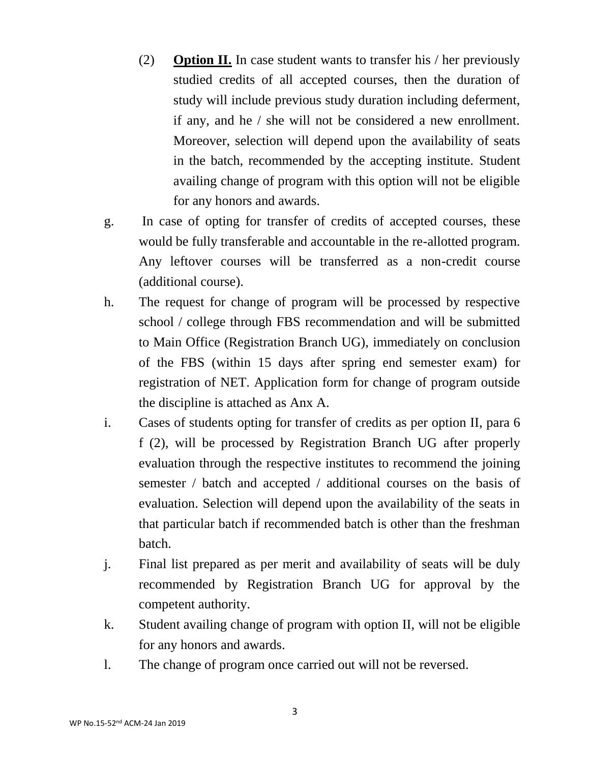- (2) **Option II.** In case student wants to transfer his / her previously studied credits of all accepted courses, then the duration of study will include previous study duration including deferment, if any, and he / she will not be considered a new enrollment. Moreover, selection will depend upon the availability of seats in the batch, recommended by the accepting institute. Student availing change of program with this option will not be eligible for any honors and awards.
- g. In case of opting for transfer of credits of accepted courses, these would be fully transferable and accountable in the re-allotted program. Any leftover courses will be transferred as a non-credit course (additional course).
- h. The request for change of program will be processed by respective school / college through FBS recommendation and will be submitted to Main Office (Registration Branch UG), immediately on conclusion of the FBS (within 15 days after spring end semester exam) for registration of NET. Application form for change of program outside the discipline is attached as Anx A.
- i. Cases of students opting for transfer of credits as per option II, para 6 f (2), will be processed by Registration Branch UG after properly evaluation through the respective institutes to recommend the joining semester / batch and accepted / additional courses on the basis of evaluation. Selection will depend upon the availability of the seats in that particular batch if recommended batch is other than the freshman batch.
- j. Final list prepared as per merit and availability of seats will be duly recommended by Registration Branch UG for approval by the competent authority.
- k. Student availing change of program with option II, will not be eligible for any honors and awards.
- l. The change of program once carried out will not be reversed.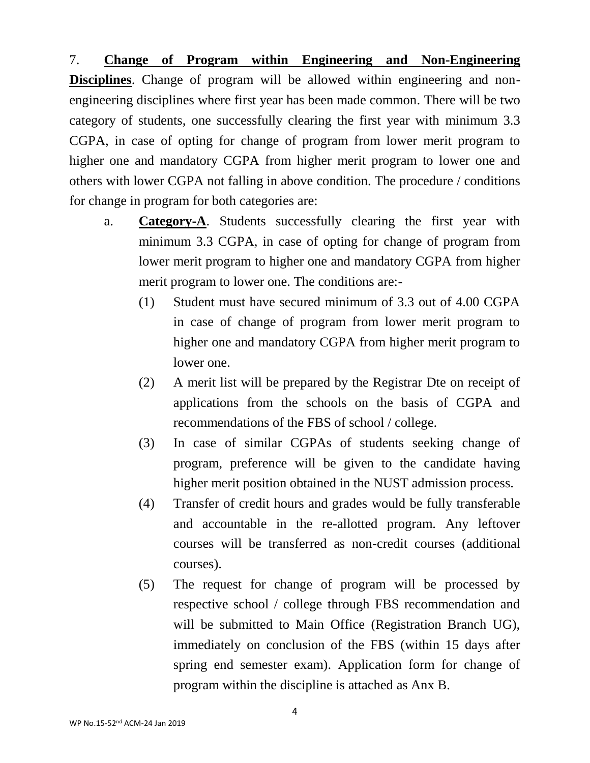7. **Change of Program within Engineering and Non-Engineering Disciplines**. Change of program will be allowed within engineering and nonengineering disciplines where first year has been made common. There will be two category of students, one successfully clearing the first year with minimum 3.3 CGPA, in case of opting for change of program from lower merit program to higher one and mandatory CGPA from higher merit program to lower one and others with lower CGPA not falling in above condition. The procedure / conditions for change in program for both categories are:

- a. **Category-A**. Students successfully clearing the first year with minimum 3.3 CGPA, in case of opting for change of program from lower merit program to higher one and mandatory CGPA from higher merit program to lower one. The conditions are:-
	- (1) Student must have secured minimum of 3.3 out of 4.00 CGPA in case of change of program from lower merit program to higher one and mandatory CGPA from higher merit program to lower one.
	- (2) A merit list will be prepared by the Registrar Dte on receipt of applications from the schools on the basis of CGPA and recommendations of the FBS of school / college.
	- (3) In case of similar CGPAs of students seeking change of program, preference will be given to the candidate having higher merit position obtained in the NUST admission process.
	- (4) Transfer of credit hours and grades would be fully transferable and accountable in the re-allotted program. Any leftover courses will be transferred as non-credit courses (additional courses).
	- (5) The request for change of program will be processed by respective school / college through FBS recommendation and will be submitted to Main Office (Registration Branch UG), immediately on conclusion of the FBS (within 15 days after spring end semester exam). Application form for change of program within the discipline is attached as Anx B.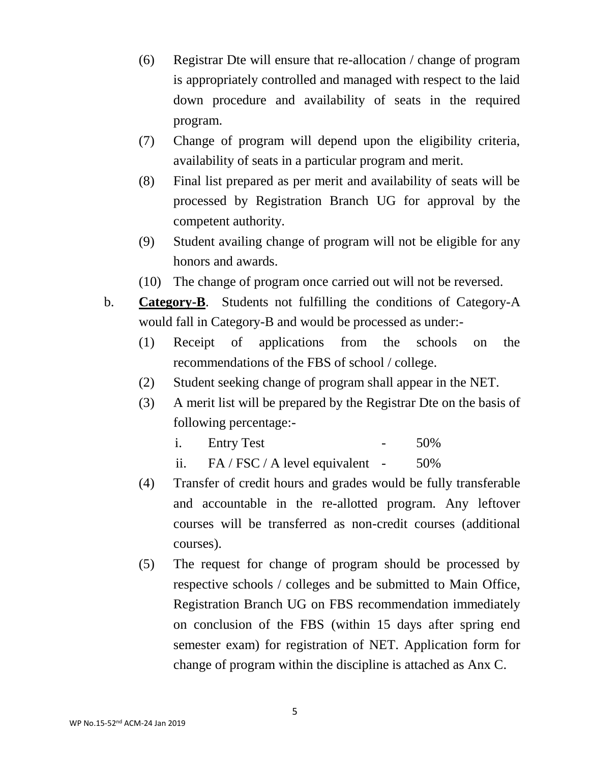- (6) Registrar Dte will ensure that re-allocation / change of program is appropriately controlled and managed with respect to the laid down procedure and availability of seats in the required program.
- (7) Change of program will depend upon the eligibility criteria, availability of seats in a particular program and merit.
- (8) Final list prepared as per merit and availability of seats will be processed by Registration Branch UG for approval by the competent authority.
- (9) Student availing change of program will not be eligible for any honors and awards.
- (10) The change of program once carried out will not be reversed.
- b. **Category-B**. Students not fulfilling the conditions of Category-A would fall in Category-B and would be processed as under:-
	- (1) Receipt of applications from the schools on the recommendations of the FBS of school / college.
	- (2) Student seeking change of program shall appear in the NET.
	- (3) A merit list will be prepared by the Registrar Dte on the basis of following percentage:
		- i. Entry Test 50%
		- ii.  $FA / FSC / A level equivalent 50\%$
	- (4) Transfer of credit hours and grades would be fully transferable and accountable in the re-allotted program. Any leftover courses will be transferred as non-credit courses (additional courses).
	- (5) The request for change of program should be processed by respective schools / colleges and be submitted to Main Office, Registration Branch UG on FBS recommendation immediately on conclusion of the FBS (within 15 days after spring end semester exam) for registration of NET. Application form for change of program within the discipline is attached as Anx C.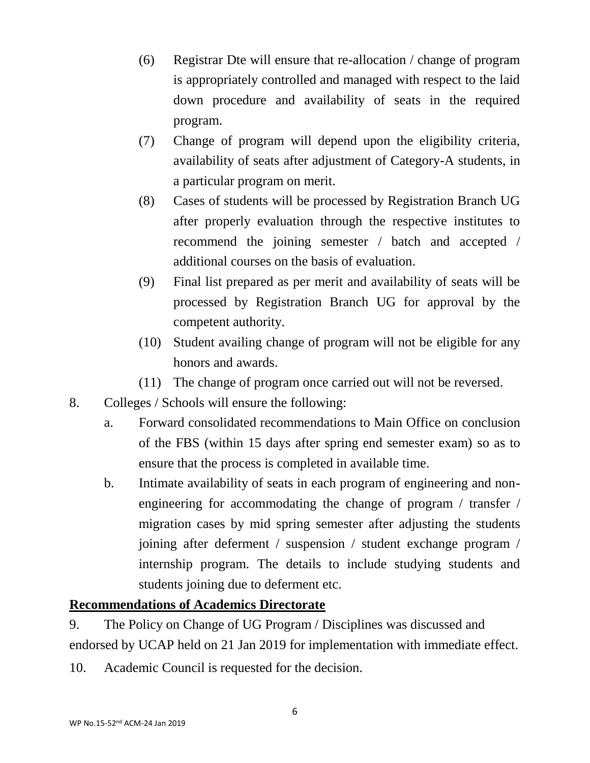- (6) Registrar Dte will ensure that re-allocation / change of program is appropriately controlled and managed with respect to the laid down procedure and availability of seats in the required program.
- (7) Change of program will depend upon the eligibility criteria, availability of seats after adjustment of Category-A students, in a particular program on merit.
- (8) Cases of students will be processed by Registration Branch UG after properly evaluation through the respective institutes to recommend the joining semester / batch and accepted / additional courses on the basis of evaluation.
- (9) Final list prepared as per merit and availability of seats will be processed by Registration Branch UG for approval by the competent authority.
- (10) Student availing change of program will not be eligible for any honors and awards.
- (11) The change of program once carried out will not be reversed.
- 8. Colleges / Schools will ensure the following:
	- a. Forward consolidated recommendations to Main Office on conclusion of the FBS (within 15 days after spring end semester exam) so as to ensure that the process is completed in available time.
	- b. Intimate availability of seats in each program of engineering and nonengineering for accommodating the change of program / transfer / migration cases by mid spring semester after adjusting the students joining after deferment / suspension / student exchange program / internship program. The details to include studying students and students joining due to deferment etc.

#### **Recommendations of Academics Directorate**

9. The Policy on Change of UG Program / Disciplines was discussed and endorsed by UCAP held on 21 Jan 2019 for implementation with immediate effect.

10. Academic Council is requested for the decision.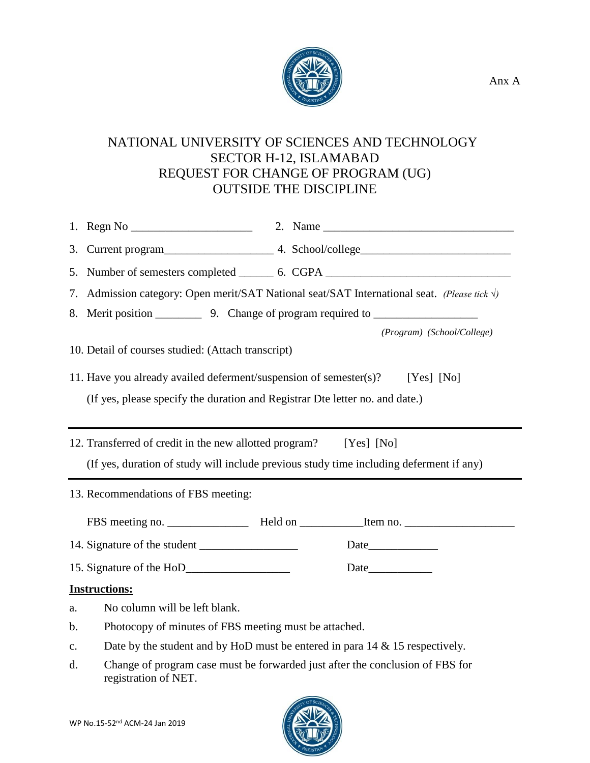

### NATIONAL UNIVERSITY OF SCIENCES AND TECHNOLOGY SECTOR H-12, ISLAMABAD REQUEST FOR CHANGE OF PROGRAM (UG) OUTSIDE THE DISCIPLINE

|                                                    | 5. Number of semesters completed ________ 6. CGPA ______________________________                      |  |  |  |  |  |
|----------------------------------------------------|-------------------------------------------------------------------------------------------------------|--|--|--|--|--|
| 7.                                                 | Admission category: Open merit/SAT National seat/SAT International seat. (Please tick $\sqrt{ }$ )    |  |  |  |  |  |
|                                                    |                                                                                                       |  |  |  |  |  |
|                                                    | (Program) (School/College)                                                                            |  |  |  |  |  |
| 10. Detail of courses studied: (Attach transcript) |                                                                                                       |  |  |  |  |  |
|                                                    | 11. Have you already availed deferment/suspension of semester(s)? [Yes] [No]                          |  |  |  |  |  |
|                                                    | (If yes, please specify the duration and Registrar Dte letter no. and date.)                          |  |  |  |  |  |
|                                                    |                                                                                                       |  |  |  |  |  |
|                                                    | 12. Transferred of credit in the new allotted program? [Yes] [No]                                     |  |  |  |  |  |
|                                                    | (If yes, duration of study will include previous study time including deferment if any)               |  |  |  |  |  |
| 13. Recommendations of FBS meeting:                |                                                                                                       |  |  |  |  |  |
|                                                    |                                                                                                       |  |  |  |  |  |
|                                                    |                                                                                                       |  |  |  |  |  |
|                                                    |                                                                                                       |  |  |  |  |  |
| <b>Instructions:</b>                               |                                                                                                       |  |  |  |  |  |
| a.                                                 | No column will be left blank.                                                                         |  |  |  |  |  |
| b.                                                 | Photocopy of minutes of FBS meeting must be attached.                                                 |  |  |  |  |  |
| $\mathbf{c}$ .                                     | Date by the student and by HoD must be entered in para $14 \& 15$ respectively.                       |  |  |  |  |  |
| d.                                                 | Change of program case must be forwarded just after the conclusion of FBS for<br>registration of NET. |  |  |  |  |  |

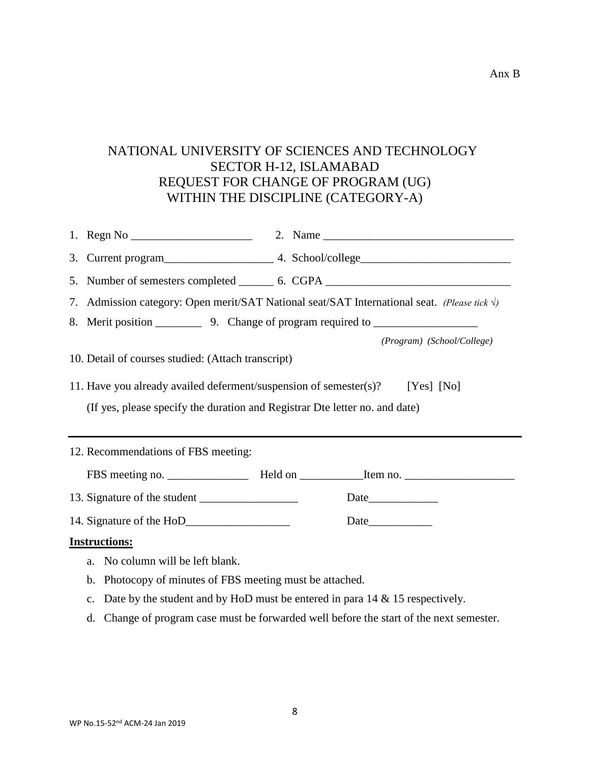#### NATIONAL UNIVERSITY OF SCIENCES AND TECHNOLOGY SECTOR H-12, ISLAMABAD REQUEST FOR CHANGE OF PROGRAM (UG) WITHIN THE DISCIPLINE (CATEGORY-A)

|                                                                              |                                                                             | 5. Number of semesters completed _________ 6. CGPA _____________________________                      |  |  |  |
|------------------------------------------------------------------------------|-----------------------------------------------------------------------------|-------------------------------------------------------------------------------------------------------|--|--|--|
|                                                                              |                                                                             | 7. Admission category: Open merit/SAT National seat/SAT International seat. (Please tick $\sqrt{ }$ ) |  |  |  |
|                                                                              |                                                                             |                                                                                                       |  |  |  |
|                                                                              |                                                                             | (Program) (School/College)                                                                            |  |  |  |
| 10. Detail of courses studied: (Attach transcript)                           |                                                                             |                                                                                                       |  |  |  |
| 11. Have you already availed deferment/suspension of semester(s)? [Yes] [No] |                                                                             |                                                                                                       |  |  |  |
|                                                                              | (If yes, please specify the duration and Registrar Dte letter no. and date) |                                                                                                       |  |  |  |
|                                                                              |                                                                             |                                                                                                       |  |  |  |
|                                                                              |                                                                             |                                                                                                       |  |  |  |
|                                                                              | 12. Recommendations of FBS meeting:                                         |                                                                                                       |  |  |  |
|                                                                              |                                                                             |                                                                                                       |  |  |  |
|                                                                              |                                                                             |                                                                                                       |  |  |  |
|                                                                              |                                                                             |                                                                                                       |  |  |  |
|                                                                              | <b>Instructions:</b>                                                        |                                                                                                       |  |  |  |
|                                                                              | No column will be left blank.<br>a.                                         |                                                                                                       |  |  |  |
|                                                                              | Photocopy of minutes of FBS meeting must be attached.<br>$\mathbf{b}$ .     |                                                                                                       |  |  |  |
|                                                                              | c.                                                                          | Date by the student and by HoD must be entered in para $14 \& 15$ respectively.                       |  |  |  |